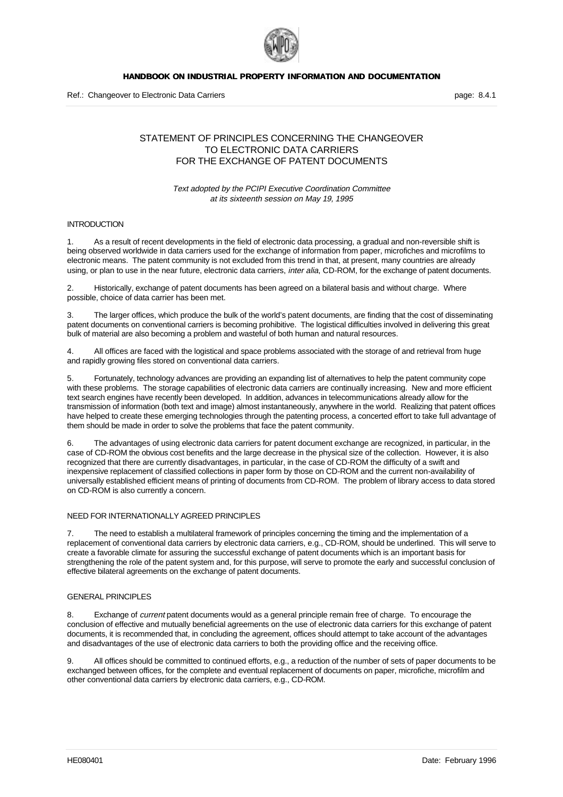

# STATEMENT OF PRINCIPLES CONCERNING THE CHANGEOVER TO ELECTRONIC DATA CARRIERS FOR THE EXCHANGE OF PATENT DOCUMENTS

## Text adopted by the PCIPI Executive Coordination Committee at its sixteenth session on May 19, 1995

## **INTRODUCTION**

1. As a result of recent developments in the field of electronic data processing, a gradual and non-reversible shift is being observed worldwide in data carriers used for the exchange of information from paper, microfiches and microfilms to electronic means. The patent community is not excluded from this trend in that, at present, many countries are already using, or plan to use in the near future, electronic data carriers, inter alia, CD-ROM, for the exchange of patent documents.

2. Historically, exchange of patent documents has been agreed on a bilateral basis and without charge. Where possible, choice of data carrier has been met.

3. The larger offices, which produce the bulk of the world's patent documents, are finding that the cost of disseminating patent documents on conventional carriers is becoming prohibitive. The logistical difficulties involved in delivering this great bulk of material are also becoming a problem and wasteful of both human and natural resources.

4. All offices are faced with the logistical and space problems associated with the storage of and retrieval from huge and rapidly growing files stored on conventional data carriers.

5. Fortunately, technology advances are providing an expanding list of alternatives to help the patent community cope with these problems. The storage capabilities of electronic data carriers are continually increasing. New and more efficient text search engines have recently been developed. In addition, advances in telecommunications already allow for the transmission of information (both text and image) almost instantaneously, anywhere in the world. Realizing that patent offices have helped to create these emerging technologies through the patenting process, a concerted effort to take full advantage of them should be made in order to solve the problems that face the patent community.

The advantages of using electronic data carriers for patent document exchange are recognized, in particular, in the case of CD-ROM the obvious cost benefits and the large decrease in the physical size of the collection. However, it is also recognized that there are currently disadvantages, in particular, in the case of CD-ROM the difficulty of a swift and inexpensive replacement of classified collections in paper form by those on CD-ROM and the current non-availability of universally established efficient means of printing of documents from CD-ROM. The problem of library access to data stored on CD-ROM is also currently a concern.

### NEED FOR INTERNATIONALLY AGREED PRINCIPLES

The need to establish a multilateral framework of principles concerning the timing and the implementation of a replacement of conventional data carriers by electronic data carriers, e.g., CD-ROM, should be underlined. This will serve to create a favorable climate for assuring the successful exchange of patent documents which is an important basis for strengthening the role of the patent system and, for this purpose, will serve to promote the early and successful conclusion of effective bilateral agreements on the exchange of patent documents.

## GENERAL PRINCIPLES

8. Exchange of current patent documents would as a general principle remain free of charge. To encourage the conclusion of effective and mutually beneficial agreements on the use of electronic data carriers for this exchange of patent documents, it is recommended that, in concluding the agreement, offices should attempt to take account of the advantages and disadvantages of the use of electronic data carriers to both the providing office and the receiving office.

9. All offices should be committed to continued efforts, e.g., a reduction of the number of sets of paper documents to be exchanged between offices, for the complete and eventual replacement of documents on paper, microfiche, microfilm and other conventional data carriers by electronic data carriers, e.g., CD-ROM.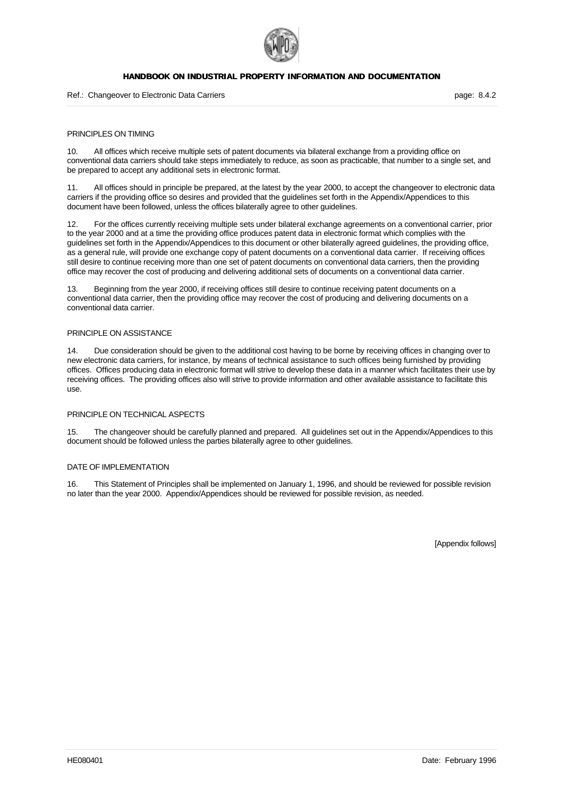

#### Ref.: Changeover to Electronic Data Carriers **page: 8.4.2** page: 8.4.2

### PRINCIPLES ON TIMING

10. All offices which receive multiple sets of patent documents via bilateral exchange from a providing office on conventional data carriers should take steps immediately to reduce, as soon as practicable, that number to a single set, and be prepared to accept any additional sets in electronic format.

11. All offices should in principle be prepared, at the latest by the year 2000, to accept the changeover to electronic data carriers if the providing office so desires and provided that the guidelines set forth in the Appendix/Appendices to this document have been followed, unless the offices bilaterally agree to other guidelines.

12. For the offices currently receiving multiple sets under bilateral exchange agreements on a conventional carrier, prior to the year 2000 and at a time the providing office produces patent data in electronic format which complies with the guidelines set forth in the Appendix/Appendices to this document or other bilaterally agreed guidelines, the providing office, as a general rule, will provide one exchange copy of patent documents on a conventional data carrier. If receiving offices still desire to continue receiving more than one set of patent documents on conventional data carriers, then the providing office may recover the cost of producing and delivering additional sets of documents on a conventional data carrier.

13. Beginning from the year 2000, if receiving offices still desire to continue receiving patent documents on a conventional data carrier, then the providing office may recover the cost of producing and delivering documents on a conventional data carrier.

#### PRINCIPLE ON ASSISTANCE

14. Due consideration should be given to the additional cost having to be borne by receiving offices in changing over to new electronic data carriers, for instance, by means of technical assistance to such offices being furnished by providing offices. Offices producing data in electronic format will strive to develop these data in a manner which facilitates their use by receiving offices. The providing offices also will strive to provide information and other available assistance to facilitate this use.

### PRINCIPLE ON TECHNICAL ASPECTS

15. The changeover should be carefully planned and prepared. All guidelines set out in the Appendix/Appendices to this document should be followed unless the parties bilaterally agree to other guidelines.

### DATE OF IMPLEMENTATION

16. This Statement of Principles shall be implemented on January 1, 1996, and should be reviewed for possible revision no later than the year 2000. Appendix/Appendices should be reviewed for possible revision, as needed.

[Appendix follows]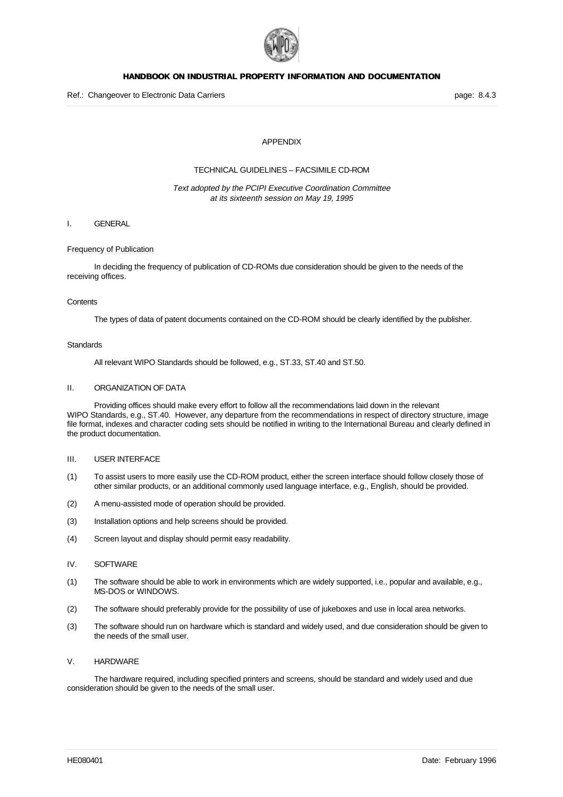

## APPENDIX

## TECHNICAL GUIDELINES – FACSIMILE CD-ROM

### Text adopted by the PCIPI Executive Coordination Committee at its sixteenth session on May 19, 1995

## I. GENERAL

#### Frequency of Publication

In deciding the frequency of publication of CD-ROMs due consideration should be given to the needs of the receiving offices.

#### **Contents**

The types of data of patent documents contained on the CD-ROM should be clearly identified by the publisher.

#### **Standards**

All relevant WIPO Standards should be followed, e.g., ST.33, ST.40 and ST.50.

## II. ORGANIZATION OF DATA

Providing offices should make every effort to follow all the recommendations laid down in the relevant WIPO Standards, e.g., ST.40. However, any departure from the recommendations in respect of directory structure, image file format, indexes and character coding sets should be notified in writing to the International Bureau and clearly defined in the product documentation.

#### III. USER INTERFACE

- (1) To assist users to more easily use the CD-ROM product, either the screen interface should follow closely those of other similar products, or an additional commonly used language interface, e.g., English, should be provided.
- (2) A menu-assisted mode of operation should be provided.
- (3) Installation options and help screens should be provided.
- (4) Screen layout and display should permit easy readability.
- IV. SOFTWARE
- (1) The software should be able to work in environments which are widely supported, i.e., popular and available, e.g., MS-DOS or WINDOWS.
- (2) The software should preferably provide for the possibility of use of jukeboxes and use in local area networks.
- (3) The software should run on hardware which is standard and widely used, and due consideration should be given to the needs of the small user.

#### V. HARDWARE

The hardware required, including specified printers and screens, should be standard and widely used and due consideration should be given to the needs of the small user.